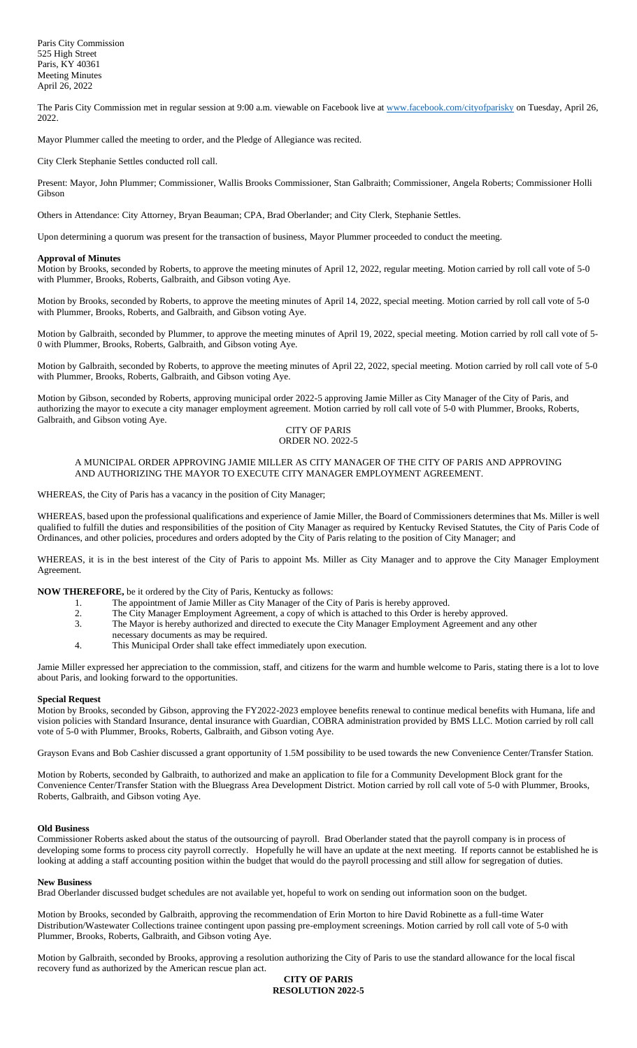The Paris City Commission met in regular session at 9:00 a.m. viewable on Facebook live a[t www.facebook.com/cityofparisky](http://www.facebook.com/cityofparisky) on Tuesday, April 26, 2022.

Mayor Plummer called the meeting to order, and the Pledge of Allegiance was recited.

City Clerk Stephanie Settles conducted roll call.

Present: Mayor, John Plummer; Commissioner, Wallis Brooks Commissioner, Stan Galbraith; Commissioner, Angela Roberts; Commissioner Holli Gibson

Others in Attendance: City Attorney, Bryan Beauman; CPA, Brad Oberlander; and City Clerk, Stephanie Settles.

Upon determining a quorum was present for the transaction of business, Mayor Plummer proceeded to conduct the meeting.

# **Approval of Minutes**

Motion by Brooks, seconded by Roberts, to approve the meeting minutes of April 12, 2022, regular meeting. Motion carried by roll call vote of 5-0 with Plummer, Brooks, Roberts, Galbraith, and Gibson voting Aye.

Motion by Brooks, seconded by Roberts, to approve the meeting minutes of April 14, 2022, special meeting. Motion carried by roll call vote of 5-0 with Plummer, Brooks, Roberts, and Galbraith, and Gibson voting Aye.

Motion by Galbraith, seconded by Plummer, to approve the meeting minutes of April 19, 2022, special meeting. Motion carried by roll call vote of 5- 0 with Plummer, Brooks, Roberts, Galbraith, and Gibson voting Aye.

Motion by Galbraith, seconded by Roberts, to approve the meeting minutes of April 22, 2022, special meeting. Motion carried by roll call vote of 5-0 with Plummer, Brooks, Roberts, Galbraith, and Gibson voting Aye.

Motion by Gibson, seconded by Roberts, approving municipal order 2022-5 approving Jamie Miller as City Manager of the City of Paris, and authorizing the mayor to execute a city manager employment agreement. Motion carried by roll call vote of 5-0 with Plummer, Brooks, Roberts, Galbraith, and Gibson voting Aye.

## CITY OF PARIS ORDER NO. 2022-5

# A MUNICIPAL ORDER APPROVING JAMIE MILLER AS CITY MANAGER OF THE CITY OF PARIS AND APPROVING AND AUTHORIZING THE MAYOR TO EXECUTE CITY MANAGER EMPLOYMENT AGREEMENT.

WHEREAS, the City of Paris has a vacancy in the position of City Manager;

WHEREAS, based upon the professional qualifications and experience of Jamie Miller, the Board of Commissioners determines that Ms. Miller is well qualified to fulfill the duties and responsibilities of the position of City Manager as required by Kentucky Revised Statutes, the City of Paris Code of Ordinances, and other policies, procedures and orders adopted by the City of Paris relating to the position of City Manager; and

WHEREAS, it is in the best interest of the City of Paris to appoint Ms. Miller as City Manager and to approve the City Manager Employment Agreement.

**NOW THEREFORE,** be it ordered by the City of Paris, Kentucky as follows:

- 1. The appointment of Jamie Miller as City Manager of the City of Paris is hereby approved.<br>
2. The City Manager Employment Agreement, a copy of which is attached to this Order is hereby authorized and directed to execute
- The City Manager Employment Agreement, a copy of which is attached to this Order is hereby approved.
- 3. The Mayor is hereby authorized and directed to execute the City Manager Employment Agreement and any other
- necessary documents as may be required.
- 4. This Municipal Order shall take effect immediately upon execution.

Jamie Miller expressed her appreciation to the commission, staff, and citizens for the warm and humble welcome to Paris, stating there is a lot to love about Paris, and looking forward to the opportunities.

## **Special Request**

Motion by Brooks, seconded by Gibson, approving the FY2022-2023 employee benefits renewal to continue medical benefits with Humana, life and vision policies with Standard Insurance, dental insurance with Guardian, COBRA administration provided by BMS LLC. Motion carried by roll call vote of 5-0 with Plummer, Brooks, Roberts, Galbraith, and Gibson voting Aye.

Grayson Evans and Bob Cashier discussed a grant opportunity of 1.5M possibility to be used towards the new Convenience Center/Transfer Station.

Motion by Roberts, seconded by Galbraith, to authorized and make an application to file for a Community Development Block grant for the Convenience Center/Transfer Station with the Bluegrass Area Development District. Motion carried by roll call vote of 5-0 with Plummer, Brooks, Roberts, Galbraith, and Gibson voting Aye.

## **Old Business**

Commissioner Roberts asked about the status of the outsourcing of payroll. Brad Oberlander stated that the payroll company is in process of developing some forms to process city payroll correctly. Hopefully he will have an update at the next meeting. If reports cannot be established he is looking at adding a staff accounting position within the budget that would do the payroll processing and still allow for segregation of duties.

#### **New Business**

Brad Oberlander discussed budget schedules are not available yet, hopeful to work on sending out information soon on the budget.

Motion by Brooks, seconded by Galbraith, approving the recommendation of Erin Morton to hire David Robinette as a full-time Water Distribution/Wastewater Collections trainee contingent upon passing pre-employment screenings. Motion carried by roll call vote of 5-0 with Plummer, Brooks, Roberts, Galbraith, and Gibson voting Aye.

Motion by Galbraith, seconded by Brooks, approving a resolution authorizing the City of Paris to use the standard allowance for the local fiscal recovery fund as authorized by the American rescue plan act.

**CITY OF PARIS RESOLUTION 2022-5**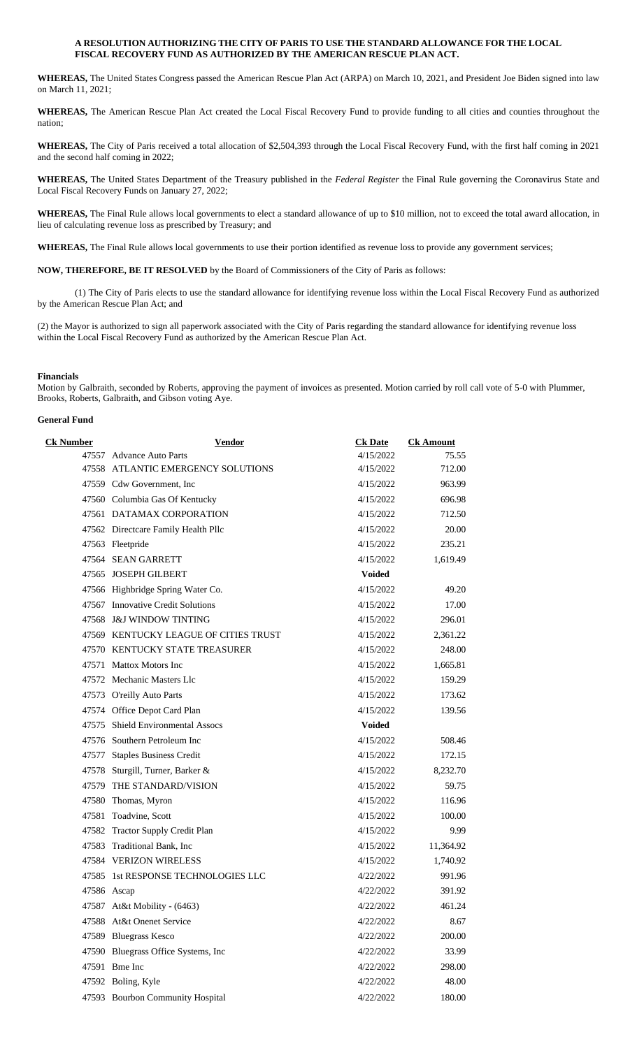# **A RESOLUTION AUTHORIZING THE CITY OF PARIS TO USE THE STANDARD ALLOWANCE FOR THE LOCAL FISCAL RECOVERY FUND AS AUTHORIZED BY THE AMERICAN RESCUE PLAN ACT.**

**WHEREAS,** The United States Congress passed the American Rescue Plan Act (ARPA) on March 10, 2021, and President Joe Biden signed into law on March 11, 2021;

**WHEREAS,** The American Rescue Plan Act created the Local Fiscal Recovery Fund to provide funding to all cities and counties throughout the nation;

**WHEREAS,** The City of Paris received a total allocation of \$2,504,393 through the Local Fiscal Recovery Fund, with the first half coming in 2021 and the second half coming in 2022;

**WHEREAS,** The United States Department of the Treasury published in the *Federal Register* the Final Rule governing the Coronavirus State and Local Fiscal Recovery Funds on January 27, 2022;

**WHEREAS,** The Final Rule allows local governments to elect a standard allowance of up to \$10 million, not to exceed the total award allocation, in lieu of calculating revenue loss as prescribed by Treasury; and

**WHEREAS,** The Final Rule allows local governments to use their portion identified as revenue loss to provide any government services;

**NOW, THEREFORE, BE IT RESOLVED** by the Board of Commissioners of the City of Paris as follows:

(1) The City of Paris elects to use the standard allowance for identifying revenue loss within the Local Fiscal Recovery Fund as authorized by the American Rescue Plan Act; and

(2) the Mayor is authorized to sign all paperwork associated with the City of Paris regarding the standard allowance for identifying revenue loss within the Local Fiscal Recovery Fund as authorized by the American Rescue Plan Act.

# **Financials**

Motion by Galbraith, seconded by Roberts, approving the payment of invoices as presented. Motion carried by roll call vote of 5-0 with Plummer, Brooks, Roberts, Galbraith, and Gibson voting Aye.

# **General Fund**

| <b>Ck Number</b> | <b>Vendor</b>                         | <b>Ck Date</b> | <b>Ck Amount</b> |
|------------------|---------------------------------------|----------------|------------------|
|                  | 47557 Advance Auto Parts              | 4/15/2022      | 75.55            |
|                  | 47558 ATLANTIC EMERGENCY SOLUTIONS    | 4/15/2022      | 712.00           |
|                  | 47559 Cdw Government, Inc.            | 4/15/2022      | 963.99           |
|                  | 47560 Columbia Gas Of Kentucky        | 4/15/2022      | 696.98           |
|                  | 47561 DATAMAX CORPORATION             | 4/15/2022      | 712.50           |
|                  | 47562 Directcare Family Health Pllc   | 4/15/2022      | 20.00            |
|                  | 47563 Fleetpride                      | 4/15/2022      | 235.21           |
|                  | 47564 SEAN GARRETT                    | 4/15/2022      | 1,619.49         |
|                  | 47565 JOSEPH GILBERT                  | <b>Voided</b>  |                  |
|                  | 47566 Highbridge Spring Water Co.     | 4/15/2022      | 49.20            |
|                  | 47567 Innovative Credit Solutions     | 4/15/2022      | 17.00            |
|                  | 47568 J&J WINDOW TINTING              | 4/15/2022      | 296.01           |
|                  | 47569 KENTUCKY LEAGUE OF CITIES TRUST | 4/15/2022      | 2,361.22         |
|                  | 47570 KENTUCKY STATE TREASURER        | 4/15/2022      | 248.00           |
|                  | 47571 Mattox Motors Inc               | 4/15/2022      | 1,665.81         |
|                  | 47572 Mechanic Masters Llc            | 4/15/2022      | 159.29           |
|                  | 47573 O'reilly Auto Parts             | 4/15/2022      | 173.62           |
|                  | 47574 Office Depot Card Plan          | 4/15/2022      | 139.56           |
|                  | 47575 Shield Environmental Assocs     | <b>Voided</b>  |                  |
|                  | 47576 Southern Petroleum Inc          | 4/15/2022      | 508.46           |
|                  | 47577 Staples Business Credit         | 4/15/2022      | 172.15           |
|                  | 47578 Sturgill, Turner, Barker &      | 4/15/2022      | 8,232.70         |
|                  | 47579 THE STANDARD/VISION             | 4/15/2022      | 59.75            |
|                  | 47580 Thomas, Myron                   | 4/15/2022      | 116.96           |
|                  | 47581 Toadvine, Scott                 | 4/15/2022      | 100.00           |
|                  | 47582 Tractor Supply Credit Plan      | 4/15/2022      | 9.99             |
|                  | 47583 Traditional Bank, Inc           | 4/15/2022      | 11,364.92        |
|                  | 47584 VERIZON WIRELESS                | 4/15/2022      | 1,740.92         |
|                  | 47585 1st RESPONSE TECHNOLOGIES LLC   | 4/22/2022      | 991.96           |
| 47586 Ascap      |                                       | 4/22/2022      | 391.92           |
|                  | 47587 At&t Mobility - (6463)          | 4/22/2022      | 461.24           |
|                  | 47588 At&t Onenet Service             | 4/22/2022      | 8.67             |
|                  | 47589 Bluegrass Kesco                 | 4/22/2022      | 200.00           |
|                  | 47590 Bluegrass Office Systems, Inc   | 4/22/2022      | 33.99            |
|                  | 47591 Bme Inc                         | 4/22/2022      | 298.00           |
|                  | 47592 Boling, Kyle                    | 4/22/2022      | 48.00            |
|                  | 47593 Bourbon Community Hospital      | 4/22/2022      | 180.00           |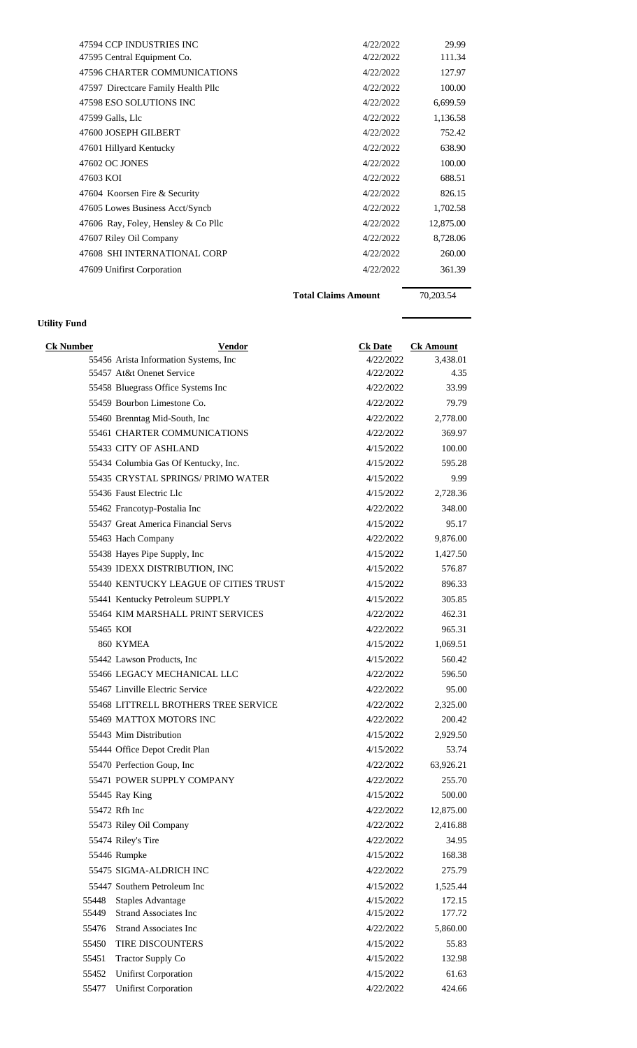| 47594 CCP INDUSTRIES INC            | 4/22/2022 | 29.99     |
|-------------------------------------|-----------|-----------|
| 47595 Central Equipment Co.         | 4/22/2022 | 111.34    |
| 47596 CHARTER COMMUNICATIONS        | 4/22/2022 | 127.97    |
| 47597 Directcare Family Health Pllc | 4/22/2022 | 100.00    |
| 47598 ESO SOLUTIONS INC             | 4/22/2022 | 6,699.59  |
| 47599 Galls, Llc                    | 4/22/2022 | 1,136.58  |
| 47600 JOSEPH GILBERT                | 4/22/2022 | 752.42    |
| 47601 Hillyard Kentucky             | 4/22/2022 | 638.90    |
| 47602 OC JONES                      | 4/22/2022 | 100.00    |
| 47603 KOI                           | 4/22/2022 | 688.51    |
| 47604 Koorsen Fire & Security       | 4/22/2022 | 826.15    |
| 47605 Lowes Business Acct/Syncb     | 4/22/2022 | 1,702.58  |
| 47606 Ray, Foley, Hensley & Co Pllc | 4/22/2022 | 12,875.00 |
| 47607 Riley Oil Company             | 4/22/2022 | 8,728.06  |
| 47608 SHI INTERNATIONAL CORP        | 4/22/2022 | 260.00    |
| 47609 Unifirst Corporation          | 4/22/2022 | 361.39    |
|                                     |           |           |

**Utility Fund**

Total Claims Amount 70,203.54

| <b>Ck Number</b> | <b>Vendor</b>                               | <b>Ck Date</b> | <b>Ck Amount</b> |
|------------------|---------------------------------------------|----------------|------------------|
|                  | 55456 Arista Information Systems, Inc.      | 4/22/2022      | 3,438.01         |
|                  | 55457 At&t Onenet Service                   | 4/22/2022      | 4.35             |
|                  | 55458 Bluegrass Office Systems Inc          | 4/22/2022      | 33.99            |
|                  | 55459 Bourbon Limestone Co.                 | 4/22/2022      | 79.79            |
|                  | 55460 Brenntag Mid-South, Inc.              | 4/22/2022      | 2,778.00         |
|                  | <b>55461 CHARTER COMMUNICATIONS</b>         | 4/22/2022      | 369.97           |
|                  | 55433 CITY OF ASHLAND                       | 4/15/2022      | 100.00           |
|                  | 55434 Columbia Gas Of Kentucky, Inc.        | 4/15/2022      | 595.28           |
|                  | 55435 CRYSTAL SPRINGS/ PRIMO WATER          | 4/15/2022      | 9.99             |
|                  | 55436 Faust Electric Llc                    | 4/15/2022      | 2,728.36         |
|                  | 55462 Francotyp-Postalia Inc                | 4/22/2022      | 348.00           |
|                  | 55437 Great America Financial Servs         | 4/15/2022      | 95.17            |
|                  | 55463 Hach Company                          | 4/22/2022      | 9,876.00         |
|                  | 55438 Hayes Pipe Supply, Inc                | 4/15/2022      | 1,427.50         |
|                  | 55439 IDEXX DISTRIBUTION, INC               | 4/15/2022      | 576.87           |
|                  | 55440 KENTUCKY LEAGUE OF CITIES TRUST       | 4/15/2022      | 896.33           |
|                  | 55441 Kentucky Petroleum SUPPLY             | 4/15/2022      | 305.85           |
|                  | 55464 KIM MARSHALL PRINT SERVICES           | 4/22/2022      | 462.31           |
| 55465 KOI        |                                             | 4/22/2022      | 965.31           |
|                  | 860 KYMEA                                   | 4/15/2022      | 1,069.51         |
|                  | 55442 Lawson Products, Inc.                 | 4/15/2022      | 560.42           |
|                  | 55466 LEGACY MECHANICAL LLC                 | 4/22/2022      | 596.50           |
|                  | 55467 Linville Electric Service             | 4/22/2022      | 95.00            |
|                  | <b>55468 LITTRELL BROTHERS TREE SERVICE</b> | 4/22/2022      | 2,325.00         |
|                  | 55469 MATTOX MOTORS INC                     | 4/22/2022      | 200.42           |
|                  | 55443 Mim Distribution                      | 4/15/2022      | 2,929.50         |
|                  | 55444 Office Depot Credit Plan              | 4/15/2022      | 53.74            |
|                  | 55470 Perfection Goup, Inc                  | 4/22/2022      | 63,926.21        |
|                  | 55471 POWER SUPPLY COMPANY                  | 4/22/2022      | 255.70           |
|                  | 55445 Ray King                              | 4/15/2022      | 500.00           |
|                  | 55472 Rfh Inc                               | 4/22/2022      | 12,875.00        |
|                  | 55473 Riley Oil Company                     | 4/22/2022      | 2,416.88         |
|                  | 55474 Riley's Tire                          | 4/22/2022      | 34.95            |
|                  | 55446 Rumpke                                | 4/15/2022      | 168.38           |
|                  | 55475 SIGMA-ALDRICH INC                     | 4/22/2022      | 275.79           |
|                  | 55447 Southern Petroleum Inc                | 4/15/2022      | 1,525.44         |
| 55448            | <b>Staples Advantage</b>                    | 4/15/2022      | 172.15           |
| 55449            | <b>Strand Associates Inc</b>                | 4/15/2022      | 177.72           |
| 55476            | <b>Strand Associates Inc</b>                | 4/22/2022      | 5,860.00         |
| 55450            | TIRE DISCOUNTERS                            | 4/15/2022      | 55.83            |
| 55451            | <b>Tractor Supply Co</b>                    | 4/15/2022      | 132.98           |
| 55452            | <b>Unifirst Corporation</b>                 | 4/15/2022      | 61.63            |
| 55477            | <b>Unifirst Corporation</b>                 | 4/22/2022      | 424.66           |